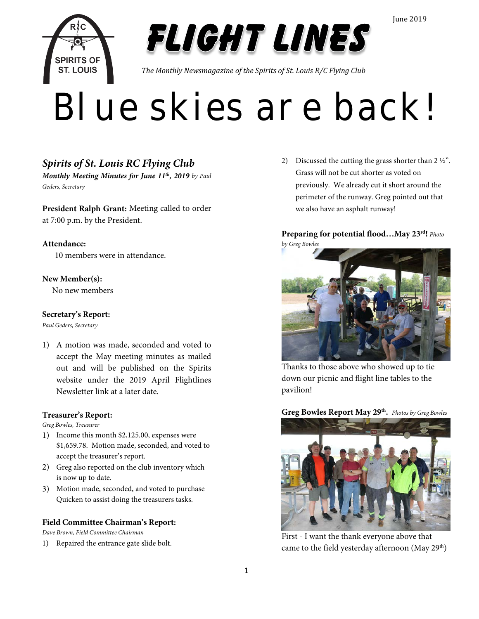



*The Monthly Newsmagazine of the Spirits of St. Louis R/C Flying Club*

# Blue skies are back!

## *Spirits of St. Louis RC Flying Club*

*Monthly Meeting Minutes for June 11th, 2019 by Paul Geders, Secretary*

**President Ralph Grant:** Meeting called to order at 7:00 p.m. by the President.

#### **Attendance:**

10 members were in attendance.

#### **New Member(s):**

No new members

#### **Secretary's Report:**

*Paul Geders, Secretary*

1) A motion was made, seconded and voted to accept the May meeting minutes as mailed out and will be published on the Spirits website under the 2019 April Flightlines Newsletter link at a later date.

#### **Treasurer's Report:**

*Greg Bowles, Treasurer*

- 1) Income this month \$2,125.00, expenses were \$1,659.78. Motion made, seconded, and voted to accept the treasurer's report.
- 2) Greg also reported on the club inventory which is now up to date.
- 3) Motion made, seconded, and voted to purchase Quicken to assist doing the treasurers tasks.

#### **Field Committee Chairman's Report:**

*Dave Brown, Field Committee Chairman*

1) Repaired the entrance gate slide bolt.

2) Discussed the cutting the grass shorter than 2 ½". Grass will not be cut shorter as voted on previously. We already cut it short around the perimeter of the runway. Greg pointed out that we also have an asphalt runway!

#### **Preparing for potential flood…May 23rd!** *Photo by Greg Bowles*



Thanks to those above who showed up to tie down our picnic and flight line tables to the pavilion!

**Greg Bowles Report May 29th.** *Photos by Greg Bowles*



First - I want the thank everyone above that came to the field yesterday afternoon (May  $29<sup>th</sup>$ )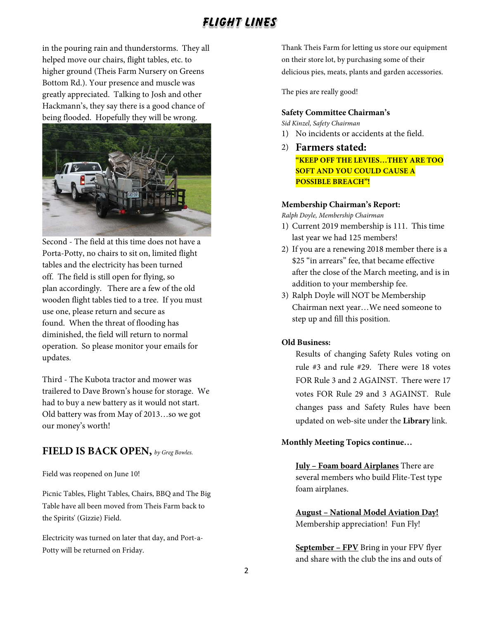in the pouring rain and thunderstorms. They all helped move our chairs, flight tables, etc. to higher ground (Theis Farm Nursery on Greens Bottom Rd.). Your presence and muscle was greatly appreciated. Talking to Josh and other Hackmann's, they say there is a good chance of being flooded. Hopefully they will be wrong.



Second - The field at this time does not have a Porta-Potty, no chairs to sit on, limited flight tables and the electricity has been turned off. The field is still open for flying, so plan accordingly. There are a few of the old wooden flight tables tied to a tree. If you must use one, please return and secure as found. When the threat of flooding has diminished, the field will return to normal operation. So please monitor your emails for updates.

Third - The Kubota tractor and mower was trailered to Dave Brown's house for storage. We had to buy a new battery as it would not start. Old battery was from May of 2013…so we got our money's worth!

#### **FIELD IS BACK OPEN,** *by Greg Bowles.*

Field was reopened on June 10!

Picnic Tables, Flight Tables, Chairs, BBQ and The Big Table have all been moved from Theis Farm back to the Spirits' (Gizzie) Field.

Electricity was turned on later that day, and Port-a-Potty will be returned on Friday.

Thank Theis Farm for letting us store our equipment on their store lot, by purchasing some of their delicious pies, meats, plants and garden accessories.

The pies are really good!

#### **Safety Committee Chairman's**

*Sid Kinzel, Safety Chairman*

- 1) No incidents or accidents at the field.
- 2) **Farmers stated:**

**"KEEP OFF THE LEVIES…THEY ARE TOO SOFT AND YOU COULD CAUSE A POSSIBLE BREACH"!**

#### **Membership Chairman's Report:**

*Ralph Doyle, Membership Chairman*

- 1) Current 2019 membership is 111. This time last year we had 125 members!
- 2) If you are a renewing 2018 member there is a \$25 "in arrears" fee, that became effective after the close of the March meeting, and is in addition to your membership fee.
- 3) Ralph Doyle will NOT be Membership Chairman next year…We need someone to step up and fill this position.

#### **Old Business:**

Results of changing Safety Rules voting on rule #3 and rule #29. There were 18 votes FOR Rule 3 and 2 AGAINST. There were 17 votes FOR Rule 29 and 3 AGAINST. Rule changes pass and Safety Rules have been updated on web-site under the **Library** link.

#### **Monthly Meeting Topics continue…**

**July – Foam board Airplanes** There are several members who build Flite-Test type foam airplanes.

**August – National Model Aviation Day!** Membership appreciation! Fun Fly!

**September – FPV** Bring in your FPV flyer and share with the club the ins and outs of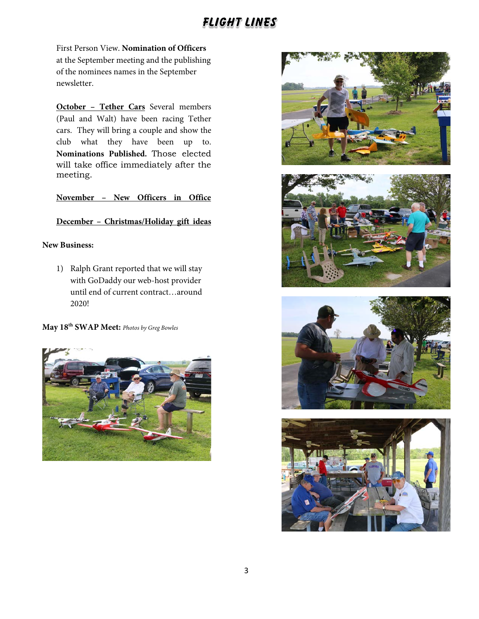First Person View. **Nomination of Officers** at the September meeting and the publishing of the nominees names in the September newsletter.

**October – Tether Cars** Several members (Paul and Walt) have been racing Tether cars. They will bring a couple and show the club what they have been up to. **Nominations Published.** Those elected will take office immediately after the meeting.

**November – New Officers in Office**

#### **December – Christmas/Holiday gift ideas**

#### **New Business:**

1) Ralph Grant reported that we will stay with GoDaddy our web-host provider until end of current contract…around 2020!

**May 18th SWAP Meet:** *Photos by Greg Bowles*









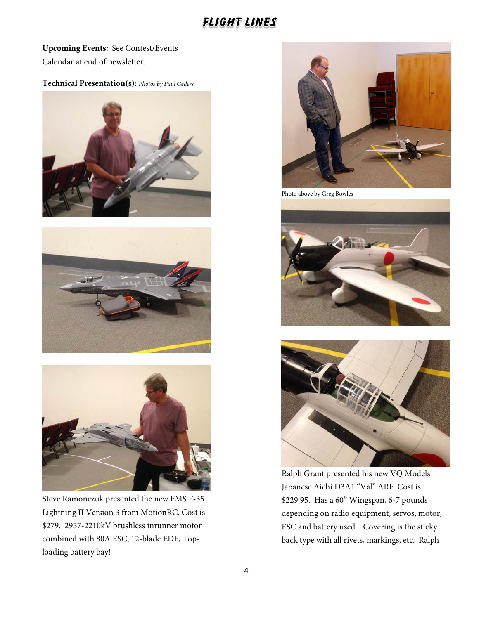**Upcoming Events:** See Contest/Events Calendar at end of newsletter.

#### **Technical Presentation(s):** *Photos by Paul Geders.*







Steve Ramonczuk presented the new FMS F-35 Lightning II Version 3 from MotionRC. Cost is \$279. 2957-2210kV brushless inrunner motor combined with 80A ESC, 12-blade EDF, Toploading battery bay!



Photo above by Greg Bowles





Ralph Grant presented his new VQ Models Japanese Aichi D3A1 "Val" ARF. Cost is \$229.95. Has a 60" Wingspan, 6-7 pounds depending on radio equipment, servos, motor, ESC and battery used. Covering is the sticky back type with all rivets, markings, etc. Ralph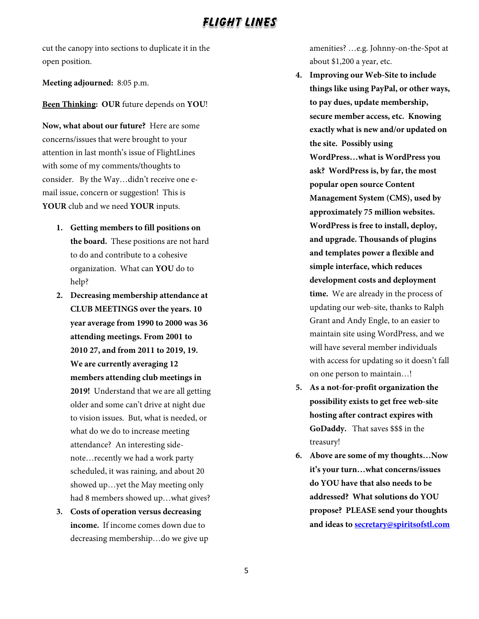cut the canopy into sections to duplicate it in the open position.

**Meeting adjourned:** 8:05 p.m.

#### **Been Thinking: OUR** future depends on **YOU**!

**Now, what about our future?** Here are some concerns/issues that were brought to your attention in last month's issue of FlightLines with some of my comments/thoughts to consider. By the Way…didn't receive one email issue, concern or suggestion! This is **YOUR** club and we need **YOUR** inputs.

- **1. Getting members to fill positions on the board.** These positions are not hard to do and contribute to a cohesive organization. What can **YOU** do to help?
- **2. Decreasing membership attendance at CLUB MEETINGS over the years. 10 year average from 1990 to 2000 was 36 attending meetings. From 2001 to 2010 27, and from 2011 to 2019, 19. We are currently averaging 12 members attending club meetings in 2019!** Understand that we are all getting older and some can't drive at night due to vision issues. But, what is needed, or what do we do to increase meeting attendance? An interesting sidenote…recently we had a work party scheduled, it was raining, and about 20 showed up…yet the May meeting only had 8 members showed up…what gives?
- **3. Costs of operation versus decreasing income.** If income comes down due to decreasing membership…do we give up

amenities? …e.g. Johnny-on-the-Spot at about \$1,200 a year, etc.

- **4. Improving our Web-Site to include things like using PayPal, or other ways, to pay dues, update membership, secure member access, etc. Knowing exactly what is new and/or updated on the site. Possibly using WordPress…what is WordPress you ask? WordPress is, by far, the most popular open source Content Management System (CMS), used by approximately 75 million websites. WordPress is free to install, deploy, and upgrade. Thousands of plugins and templates power a flexible and simple interface, which reduces development costs and deployment time.** We are already in the process of updating our web-site, thanks to Ralph Grant and Andy Engle, to an easier to maintain site using WordPress, and we will have several member individuals with access for updating so it doesn't fall on one person to maintain…!
- **5. As a not-for-profit organization the possibility exists to get free web-site hosting after contract expires with GoDaddy.** That saves \$\$\$ in the treasury!
- **6. Above are some of my thoughts…Now it's your turn…what concerns/issues do YOU have that also needs to be addressed? What solutions do YOU propose? PLEASE send your thoughts and ideas t[o secretary@spiritsofstl.com](mailto:secretary@spiritsofstl.com)**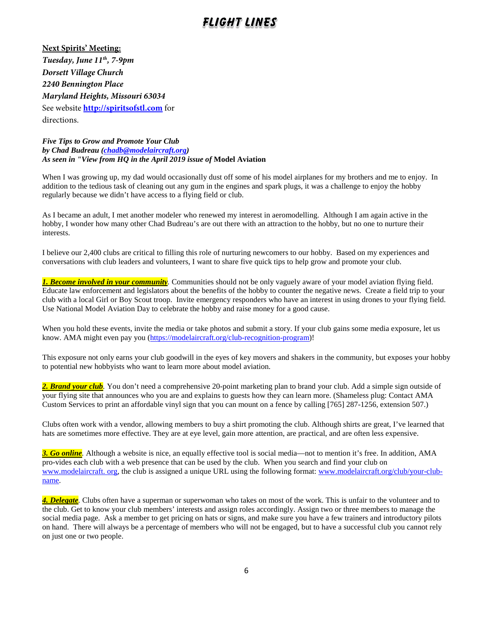**Next Spirits' Meeting:** *Tuesday, June 11th, 7-9pm Dorsett Village Church 2240 Bennington Place Maryland Heights, Missouri 63034* See website **[http://spiritsofstl.com](http://spiritsofstl.com/)** for directions.

*Five Tips to Grow and Promote Your Club by Chad Budreau [\(chadb@modelaircraft.org\)](mailto:chadb@modelaircraft.org) As seen in "View from HQ in the April 2019 issue of* **Model Aviation**

When I was growing up, my dad would occasionally dust off some of his model airplanes for my brothers and me to enjoy. In addition to the tedious task of cleaning out any gum in the engines and spark plugs, it was a challenge to enjoy the hobby regularly because we didn't have access to a flying field or club.

As I became an adult, I met another modeler who renewed my interest in aeromodelling. Although I am again active in the hobby, I wonder how many other Chad Budreau's are out there with an attraction to the hobby, but no one to nurture their interests.

I believe our 2,400 clubs are critical to filling this role of nurturing newcomers to our hobby. Based on my experiences and conversations with club leaders and volunteers, I want to share five quick tips to help grow and promote your club.

*1. Become involved in your community.* Communities should not be only vaguely aware of your model aviation flying field. Educate law enforcement and legislators about the benefits of the hobby to counter the negative news. Create a field trip to your club with a local Girl or Boy Scout troop. Invite emergency responders who have an interest in using drones to your flying field. Use National Model Aviation Day to celebrate the hobby and raise money for a good cause.

When you hold these events, invite the media or take photos and submit a story. If your club gains some media exposure, let us know. AMA might even pay you [\(https://modelaircraft.org/club-recognition-program\)](https://modelaircraft.org/club-recognition-program)!

This exposure not only earns your club goodwill in the eyes of key movers and shakers in the community, but exposes your hobby to potential new hobbyists who want to learn more about model aviation.

2. **Brand your club**. You don't need a comprehensive 20-point marketing plan to brand your club. Add a simple sign outside of your flying site that announces who you are and explains to guests how they can learn more. (Shameless plug: Contact AMA Custom Services to print an affordable vinyl sign that you can mount on a fence by calling [765] 287-1256, extension 507.)

Clubs often work with a vendor, allowing members to buy a shirt promoting the club. Although shirts are great, I've learned that hats are sometimes more effective. They are at eye level, gain more attention, are practical, and are often less expensive.

*3. Go online.* Although a website is nice, an equally effective tool is social media—not to mention it's free. In addition, AMA pro-vides each club with a web presence that can be used by the club. When you search and find your club on [www.modelaircraft. org,](http://www.modelaircraft.org/) the club is assigned a unique URL using the following format: [www.modelaircraft.org/club/your-club](http://www.modelaircraft.org/club/your-club-name)[name.](http://www.modelaircraft.org/club/your-club-name) 

*4. Delegate.* Clubs often have a superman or superwoman who takes on most of the work. This is unfair to the volunteer and to the club. Get to know your club members' interests and assign roles accordingly. Assign two or three members to manage the social media page. Ask a member to get pricing on hats or signs, and make sure you have a few trainers and introductory pilots on hand. There will always be a percentage of members who will not be engaged, but to have a successful club you cannot rely on just one or two people.